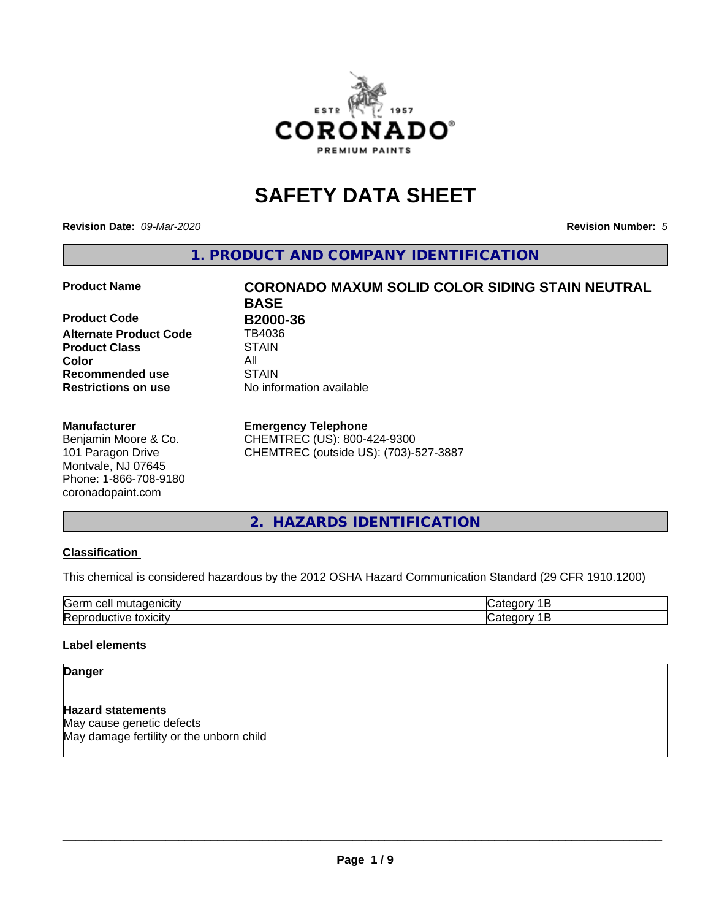

## **SAFETY DATA SHEET**

**Revision Date:** *09-Mar-2020* **Revision Number:** *5*

**1. PRODUCT AND COMPANY IDENTIFICATION**

**Product Code B2000-36**<br>Alternate Product Code TB4036 **Alternate Product Code Product Class STAIN**<br> **Color** All **Color** All **Recommended use STAIN Restrictions on use** No information available

#### **Manufacturer**

Benjamin Moore & Co. 101 Paragon Drive Montvale, NJ 07645 Phone: 1-866-708-9180 coronadopaint.com

# **Product Name CORONADO MAXUM SOLID COLOR SIDING STAIN NEUTRAL BASE**

#### **Emergency Telephone**

CHEMTREC (US): 800-424-9300 CHEMTREC (outside US): (703)-527-3887

#### **2. HAZARDS IDENTIFICATION**

#### **Classification**

This chemical is considered hazardous by the 2012 OSHA Hazard Communication Standard (29 CFR 1910.1200)

| $\sim$ $\sim$<br>---<br>kae:<br>$\cdot$ |  |
|-----------------------------------------|--|
| <b>Re</b><br>$-$<br>. X II              |  |

#### **Label elements**

#### **Danger**

**Hazard statements** May cause genetic defects May damage fertility or the unborn child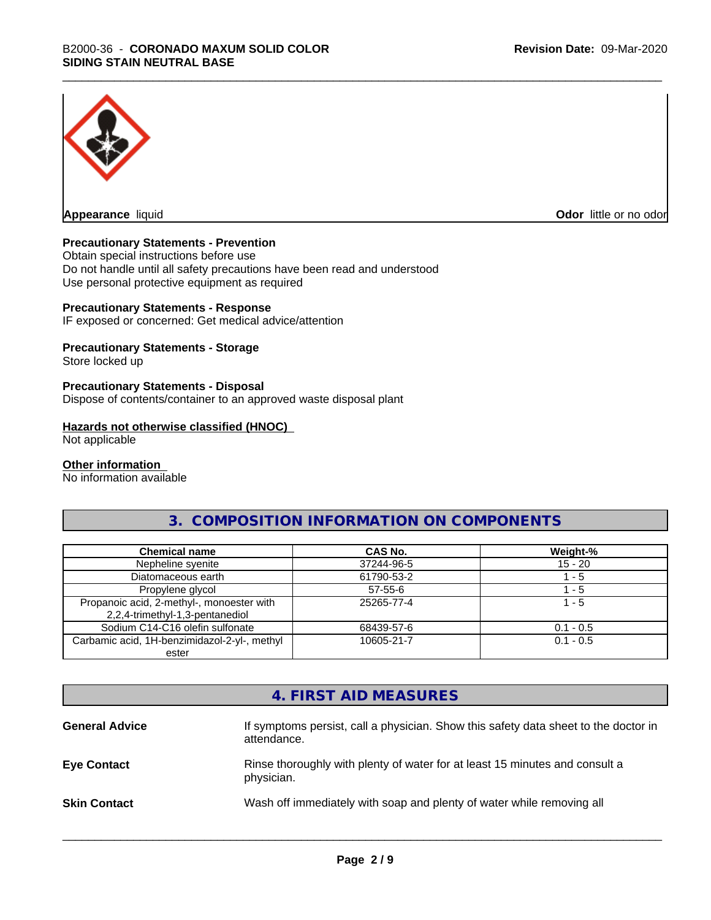

**Appearance** liquid **Odor in the original of the original of the original of the original of the original of the original of the original of the original of the original of the original of the original of the original of t** 

#### **Precautionary Statements - Prevention**

Obtain special instructions before use Do not handle until all safety precautions have been read and understood Use personal protective equipment as required

#### **Precautionary Statements - Response**

IF exposed or concerned: Get medical advice/attention

#### **Precautionary Statements - Storage**

Store locked up

#### **Precautionary Statements - Disposal**

Dispose of contents/container to an approved waste disposal plant

#### **Hazards not otherwise classified (HNOC)**

Not applicable

#### **Other information**

No information available

#### **3. COMPOSITION INFORMATION ON COMPONENTS**

| <b>Chemical name</b>                                                         | <b>CAS No.</b> | Weight-%    |
|------------------------------------------------------------------------------|----------------|-------------|
| Nepheline syenite                                                            | 37244-96-5     | $15 - 20$   |
| Diatomaceous earth                                                           | 61790-53-2     | - 5         |
| Propylene glycol                                                             | 57-55-6        | - 5         |
| Propanoic acid, 2-methyl-, monoester with<br>2,2,4-trimethyl-1,3-pentanediol | 25265-77-4     | l - 5       |
| Sodium C14-C16 olefin sulfonate                                              | 68439-57-6     | $0.1 - 0.5$ |
| Carbamic acid, 1H-benzimidazol-2-yl-, methyl                                 | 10605-21-7     | $0.1 - 0.5$ |
| ester                                                                        |                |             |

## **4. FIRST AID MEASURES**

| If symptoms persist, call a physician. Show this safety data sheet to the doctor in<br>attendance. |
|----------------------------------------------------------------------------------------------------|
| Rinse thoroughly with plenty of water for at least 15 minutes and consult a<br>physician.          |
| Wash off immediately with soap and plenty of water while removing all                              |
|                                                                                                    |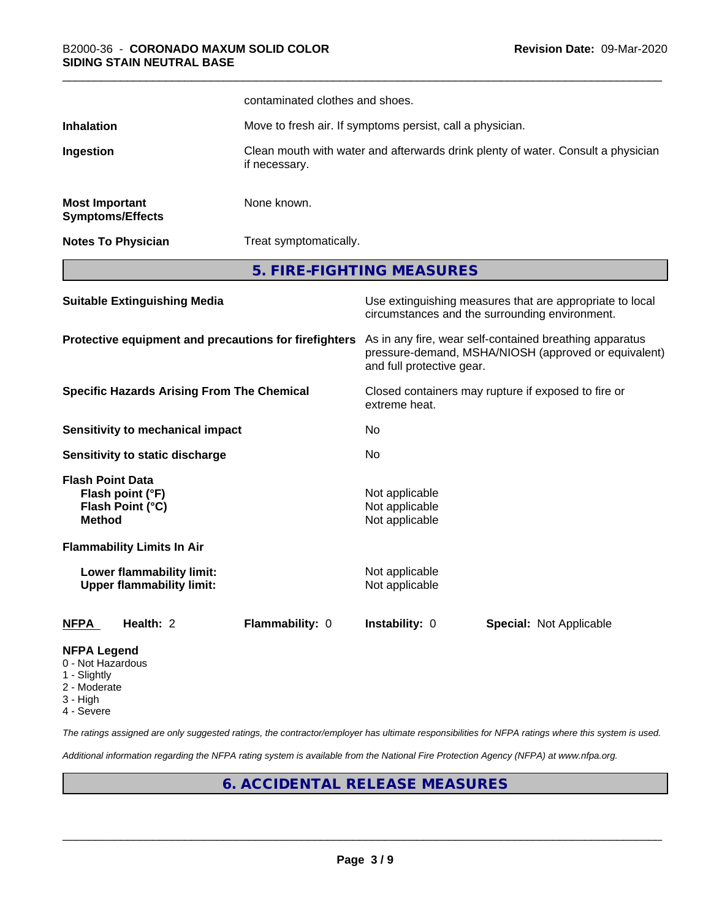|                                                                         |                                                               | contaminated clothes and shoes.                                                                                                              |                                                                      |                                                                                                            |  |
|-------------------------------------------------------------------------|---------------------------------------------------------------|----------------------------------------------------------------------------------------------------------------------------------------------|----------------------------------------------------------------------|------------------------------------------------------------------------------------------------------------|--|
| Inhalation                                                              |                                                               | Move to fresh air. If symptoms persist, call a physician.                                                                                    |                                                                      |                                                                                                            |  |
| Ingestion                                                               |                                                               | Clean mouth with water and afterwards drink plenty of water. Consult a physician<br>if necessary.                                            |                                                                      |                                                                                                            |  |
| <b>Most Important</b>                                                   | <b>Symptoms/Effects</b>                                       | None known.                                                                                                                                  |                                                                      |                                                                                                            |  |
|                                                                         | <b>Notes To Physician</b>                                     |                                                                                                                                              | Treat symptomatically.                                               |                                                                                                            |  |
|                                                                         |                                                               | 5. FIRE-FIGHTING MEASURES                                                                                                                    |                                                                      |                                                                                                            |  |
|                                                                         | <b>Suitable Extinguishing Media</b>                           |                                                                                                                                              |                                                                      | Use extinguishing measures that are appropriate to local<br>circumstances and the surrounding environment. |  |
| Protective equipment and precautions for firefighters                   |                                                               | As in any fire, wear self-contained breathing apparatus<br>pressure-demand, MSHA/NIOSH (approved or equivalent)<br>and full protective gear. |                                                                      |                                                                                                            |  |
|                                                                         | <b>Specific Hazards Arising From The Chemical</b>             |                                                                                                                                              | Closed containers may rupture if exposed to fire or<br>extreme heat. |                                                                                                            |  |
|                                                                         | <b>Sensitivity to mechanical impact</b>                       |                                                                                                                                              | No                                                                   |                                                                                                            |  |
|                                                                         | <b>Sensitivity to static discharge</b>                        |                                                                                                                                              | No                                                                   |                                                                                                            |  |
| <b>Flash Point Data</b><br><b>Method</b>                                | Flash point (°F)<br>Flash Point (°C)                          |                                                                                                                                              | Not applicable<br>Not applicable<br>Not applicable                   |                                                                                                            |  |
|                                                                         | <b>Flammability Limits In Air</b>                             |                                                                                                                                              |                                                                      |                                                                                                            |  |
|                                                                         | Lower flammability limit:<br><b>Upper flammability limit:</b> |                                                                                                                                              | Not applicable<br>Not applicable                                     |                                                                                                            |  |
| <b>NFPA</b>                                                             | Health: 2                                                     | Flammability: 0                                                                                                                              | Instability: 0                                                       | <b>Special: Not Applicable</b>                                                                             |  |
| <b>NFPA Legend</b><br>0 - Not Hazardous<br>1 - Slightly<br>2 - Moderate |                                                               |                                                                                                                                              |                                                                      |                                                                                                            |  |

- 
- 3 High
- 4 Severe

*The ratings assigned are only suggested ratings, the contractor/employer has ultimate responsibilities for NFPA ratings where this system is used.*

*Additional information regarding the NFPA rating system is available from the National Fire Protection Agency (NFPA) at www.nfpa.org.*

#### **6. ACCIDENTAL RELEASE MEASURES**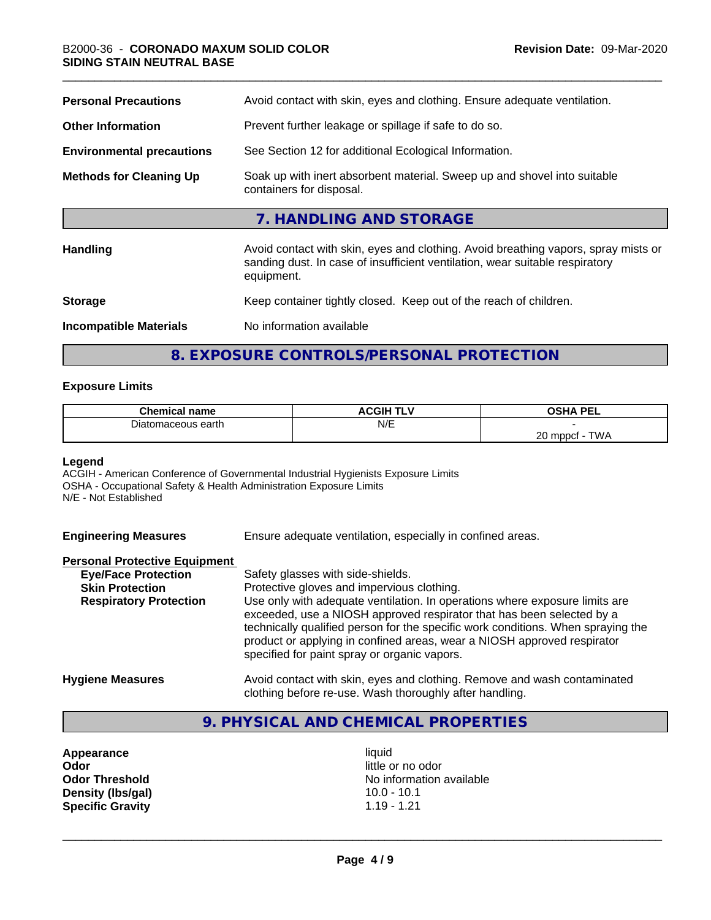| <b>Personal Precautions</b>      | Avoid contact with skin, eyes and clothing. Ensure adequate ventilation.                                                                                                         |
|----------------------------------|----------------------------------------------------------------------------------------------------------------------------------------------------------------------------------|
| <b>Other Information</b>         | Prevent further leakage or spillage if safe to do so.                                                                                                                            |
| <b>Environmental precautions</b> | See Section 12 for additional Ecological Information.                                                                                                                            |
| <b>Methods for Cleaning Up</b>   | Soak up with inert absorbent material. Sweep up and shovel into suitable<br>containers for disposal.                                                                             |
|                                  | 7. HANDLING AND STORAGE                                                                                                                                                          |
| <b>Handling</b>                  | Avoid contact with skin, eyes and clothing. Avoid breathing vapors, spray mists or<br>sanding dust. In case of insufficient ventilation, wear suitable respiratory<br>equipment. |
| <b>Storage</b>                   | Keep container tightly closed. Keep out of the reach of children.                                                                                                                |
| <b>Incompatible Materials</b>    | No information available                                                                                                                                                         |

## **8. EXPOSURE CONTROLS/PERSONAL PROTECTION**

#### **Exposure Limits**

| <b>Chemical name</b> | <b>ACGIH TLV</b> | <b>OSHA PEL</b><br>--                        |
|----------------------|------------------|----------------------------------------------|
| maceous earth        | N/E              |                                              |
|                      |                  | ററ<br>$T$ $M$<br>0 mppcf<br><b>VVH</b><br>∠∪ |

#### **Legend**

ACGIH - American Conference of Governmental Industrial Hygienists Exposure Limits OSHA - Occupational Safety & Health Administration Exposure Limits N/E - Not Established

**Engineering Measures** Ensure adequate ventilation, especially in confined areas.

#### **Personal Protective Equipment**

| <b>Eye/Face Protection</b>    | Safety glasses with side-shields.                                                                                                                                                                                                                                                                                                                                   |
|-------------------------------|---------------------------------------------------------------------------------------------------------------------------------------------------------------------------------------------------------------------------------------------------------------------------------------------------------------------------------------------------------------------|
| <b>Skin Protection</b>        | Protective gloves and impervious clothing.                                                                                                                                                                                                                                                                                                                          |
| <b>Respiratory Protection</b> | Use only with adequate ventilation. In operations where exposure limits are<br>exceeded, use a NIOSH approved respirator that has been selected by a<br>technically qualified person for the specific work conditions. When spraying the<br>product or applying in confined areas, wear a NIOSH approved respirator<br>specified for paint spray or organic vapors. |
| <b>Hygiene Measures</b>       | Avoid contact with skin, eyes and clothing. Remove and wash contaminated                                                                                                                                                                                                                                                                                            |

#### clothing before re-use. Wash thoroughly after handling.

#### **9. PHYSICAL AND CHEMICAL PROPERTIES**

**Appearance** liquid<br> **Appearance** liquid<br> **Odor** little c **Density (lbs/gal) Specific Gravity** 1.19 - 1.21

little or no odor **Odor Threshold**<br> **Density (Ibs/gal)**<br> **Density (Ibs/gal)**<br> **Compared Acts/Server Acts/Server Acts/Server Acts/Server Acts/Server Acts/Server Acts/Server Acts/Server Acts/Server Acts/Server Acts/Server Acts/Server Acts/Ser**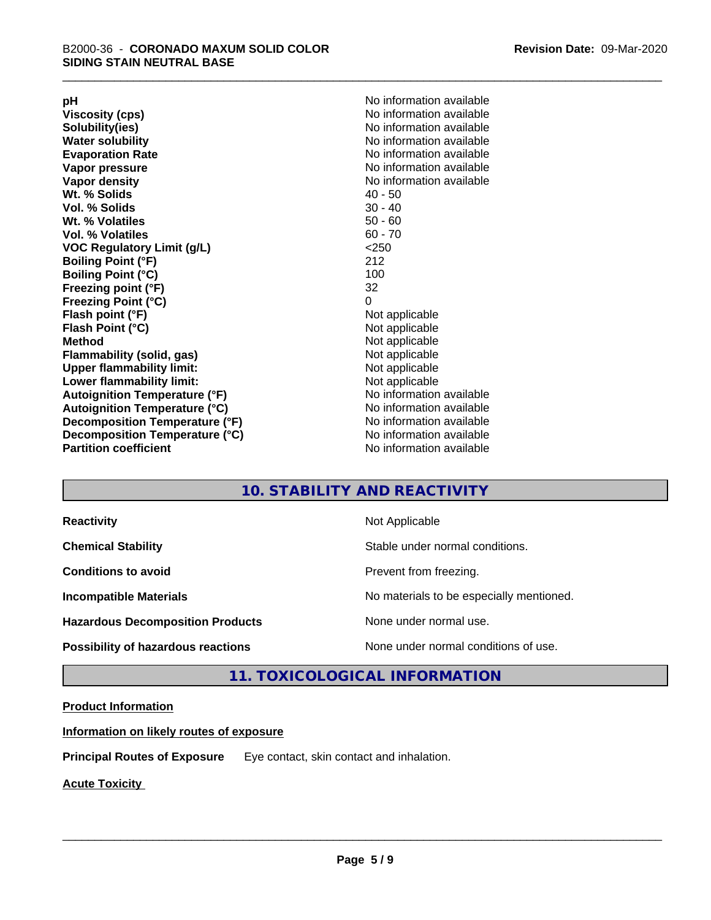**Viscosity (cps)** <br> **Viscosity (cps)** No information available<br>
No information available<br>
No information available **Water solubility**<br> **Evaporation Rate**<br> **Evaporation Rate**<br> **Evaporation Rate Vapor pressure** No information available **Vapor density No information available No information available Wt. % Solids** 40 - 50<br> **Vol. % Solids** 30 - 40 **Vol. % Solids Wt.** % Volatiles 50 - 60 **Vol. % Volatiles** 60 - 70 **VOC Regulatory Limit (g/L)** <250 **Boiling Point (°F)** 212 **Boiling Point (°C) Freezing point (°F)** 32 **Freezing Point (°C)** 0 **Flash point (°F)** Not applicable **Flash Point (°C)** Not applicable **Method**<br> **Flammability (solid, gas)**<br> **Example 2018** Not applicable **Flammability** (solid, gas) **Upper flammability limit:** Not applicable **Lower flammability limit:** Not applicable **Autoignition Temperature (°F)** No information available **Autoignition Temperature (°C)** No information available **Decomposition Temperature (°F)** No information available **Decomposition Temperature (°C)** No information available<br> **Partition coefficient Partition available** 

**pH**<br>
Viscosity (cps) The Contract Contract Contract Contract Contract Contract Contract Contract Contract Contract Co<br>
No information available **Solubility(ies)** No information available **Evaporation Rate** No information available **No information available** 

#### **10. STABILITY AND REACTIVITY**

| <b>Reactivity</b>                         | Not Applicable                           |
|-------------------------------------------|------------------------------------------|
| <b>Chemical Stability</b>                 | Stable under normal conditions.          |
| <b>Conditions to avoid</b>                | Prevent from freezing.                   |
| <b>Incompatible Materials</b>             | No materials to be especially mentioned. |
| <b>Hazardous Decomposition Products</b>   | None under normal use.                   |
| <b>Possibility of hazardous reactions</b> | None under normal conditions of use.     |

#### **11. TOXICOLOGICAL INFORMATION**

#### **Product Information**

**Information on likely routes of exposure**

**Principal Routes of Exposure** Eye contact, skin contact and inhalation.

**Acute Toxicity**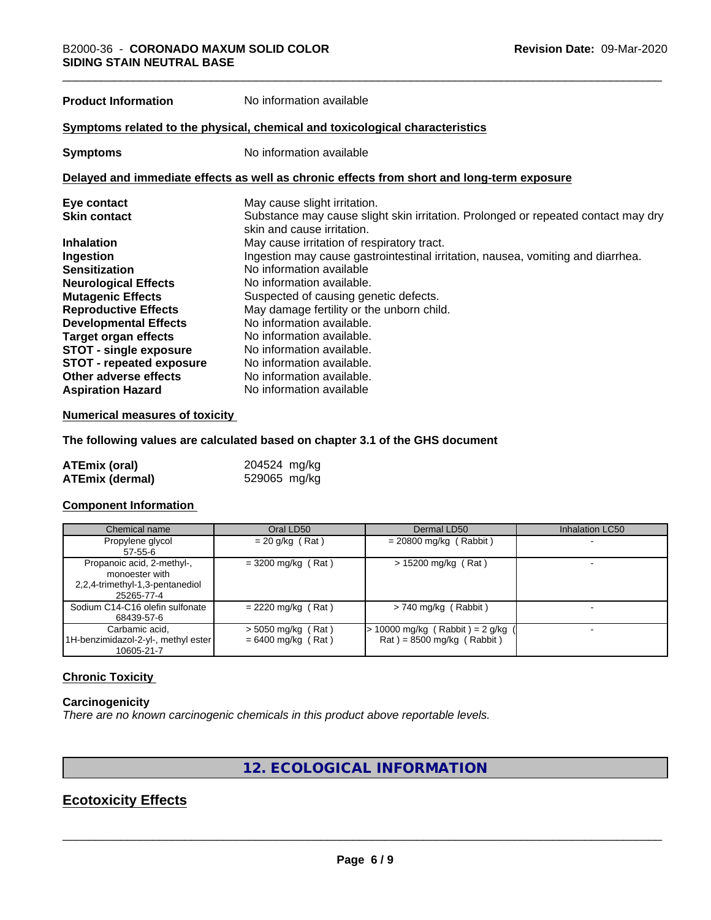**Product Information** No information available

#### **Symptoms related to the physical,chemical and toxicological characteristics**

**Symptoms** No information available

#### **Delayed and immediate effects as well as chronic effects from short and long-term exposure**

| Eye contact                     | May cause slight irritation.                                                      |
|---------------------------------|-----------------------------------------------------------------------------------|
| <b>Skin contact</b>             | Substance may cause slight skin irritation. Prolonged or repeated contact may dry |
|                                 | skin and cause irritation.                                                        |
| <b>Inhalation</b>               | May cause irritation of respiratory tract.                                        |
| Ingestion                       | Ingestion may cause gastrointestinal irritation, nausea, vomiting and diarrhea.   |
| <b>Sensitization</b>            | No information available                                                          |
| <b>Neurological Effects</b>     | No information available.                                                         |
| <b>Mutagenic Effects</b>        | Suspected of causing genetic defects.                                             |
| <b>Reproductive Effects</b>     | May damage fertility or the unborn child.                                         |
| <b>Developmental Effects</b>    | No information available.                                                         |
| Target organ effects            | No information available.                                                         |
| <b>STOT - single exposure</b>   | No information available.                                                         |
| <b>STOT - repeated exposure</b> | No information available.                                                         |
| Other adverse effects           | No information available.                                                         |
| <b>Aspiration Hazard</b>        | No information available                                                          |

#### **Numerical measures of toxicity**

**The following values are calculated based on chapter 3.1 of the GHS document**

| ATEmix (oral)          | 204524 mg/kg |  |
|------------------------|--------------|--|
| <b>ATEmix (dermal)</b> | 529065 mg/kg |  |

#### **Component Information**

| Chemical name                                                                                 | Oral LD50                                    | Dermal LD50                                                        | Inhalation LC50 |
|-----------------------------------------------------------------------------------------------|----------------------------------------------|--------------------------------------------------------------------|-----------------|
| Propylene glycol<br>$57 - 55 - 6$                                                             | $= 20$ g/kg (Rat)                            | $= 20800$ mg/kg (Rabbit)                                           |                 |
| Propanoic acid, 2-methyl-,<br>monoester with<br>2,2,4-trimethyl-1,3-pentanediol<br>25265-77-4 | $=$ 3200 mg/kg (Rat)                         | $> 15200$ mg/kg (Rat)                                              |                 |
| Sodium C14-C16 olefin sulfonate<br>68439-57-6                                                 | $= 2220$ mg/kg (Rat)                         | $> 740$ mg/kg (Rabbit)                                             |                 |
| Carbamic acid,<br>1H-benzimidazol-2-yl-, methyl ester<br>10605-21-7                           | $>$ 5050 mg/kg (Rat)<br>$= 6400$ mg/kg (Rat) | $> 10000$ mg/kg (Rabbit) = 2 g/kg (<br>$Rat$ = 8500 mg/kg (Rabbit) |                 |

#### **Chronic Toxicity**

#### **Carcinogenicity**

*There are no known carcinogenic chemicals in this product above reportable levels.*

#### **12. ECOLOGICAL INFORMATION**

#### **Ecotoxicity Effects**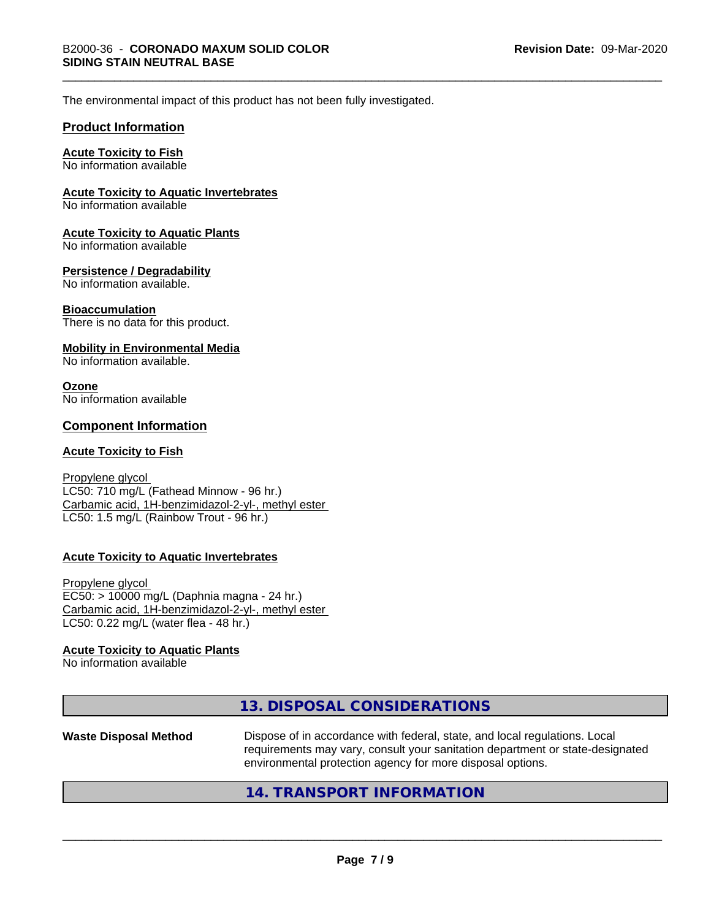The environmental impact of this product has not been fully investigated.

#### **Product Information**

#### **Acute Toxicity to Fish**

No information available

#### **Acute Toxicity to Aquatic Invertebrates**

No information available

#### **Acute Toxicity to Aquatic Plants**

No information available

#### **Persistence / Degradability**

No information available.

#### **Bioaccumulation**

There is no data for this product.

#### **Mobility in Environmental Media**

No information available.

#### **Ozone** No information available

#### **Component Information**

#### **Acute Toxicity to Fish**

Propylene glycol LC50: 710 mg/L (Fathead Minnow - 96 hr.) Carbamic acid, 1H-benzimidazol-2-yl-, methyl ester LC50: 1.5 mg/L (Rainbow Trout - 96 hr.)

#### **Acute Toxicity to Aquatic Invertebrates**

Propylene glycol EC50: > 10000 mg/L (Daphnia magna - 24 hr.) Carbamic acid, 1H-benzimidazol-2-yl-, methyl ester LC50: 0.22 mg/L (water flea - 48 hr.)

#### **Acute Toxicity to Aquatic Plants**

No information available

|                              | 13. DISPOSAL CONSIDERATIONS                                                                                                                                                                                               |
|------------------------------|---------------------------------------------------------------------------------------------------------------------------------------------------------------------------------------------------------------------------|
| <b>Waste Disposal Method</b> | Dispose of in accordance with federal, state, and local regulations. Local<br>requirements may vary, consult your sanitation department or state-designated<br>environmental protection agency for more disposal options. |
|                              |                                                                                                                                                                                                                           |

#### **14. TRANSPORT INFORMATION**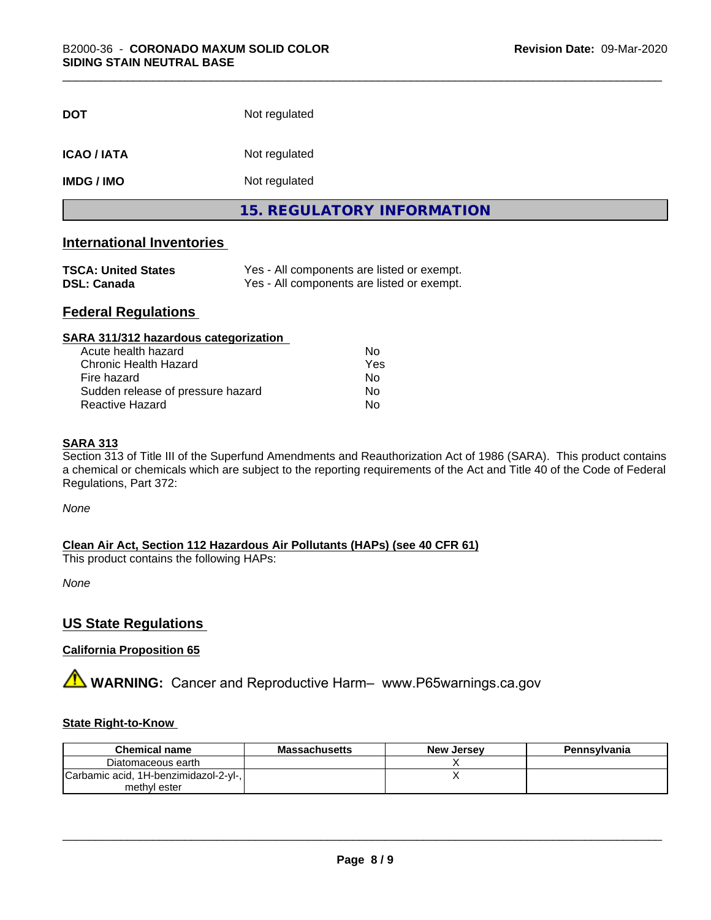| <b>DOT</b>         | Not regulated                     |
|--------------------|-----------------------------------|
| <b>ICAO / IATA</b> | Not regulated                     |
| <b>IMDG/IMO</b>    | Not regulated                     |
|                    | <b>15. REGULATORY INFORMATION</b> |

#### **International Inventories**

| <b>TSCA: United States</b> | Yes - All components are listed or exempt. |
|----------------------------|--------------------------------------------|
| <b>DSL: Canada</b>         | Yes - All components are listed or exempt. |

## **Federal Regulations**

| SARA 311/312 hazardous categorization |     |  |
|---------------------------------------|-----|--|
| Acute health hazard                   | Nο  |  |
| <b>Chronic Health Hazard</b>          | Yes |  |
| Fire hazard                           | No  |  |
| Sudden release of pressure hazard     | No  |  |
| Reactive Hazard                       | No  |  |

#### **SARA 313**

Section 313 of Title III of the Superfund Amendments and Reauthorization Act of 1986 (SARA). This product contains a chemical or chemicals which are subject to the reporting requirements of the Act and Title 40 of the Code of Federal Regulations, Part 372:

*None*

**Clean Air Act,Section 112 Hazardous Air Pollutants (HAPs) (see 40 CFR 61)**

This product contains the following HAPs:

*None*

#### **US State Regulations**

#### **California Proposition 65**

**A** WARNING: Cancer and Reproductive Harm– www.P65warnings.ca.gov

#### **State Right-to-Know**

| <b>Chemical name</b>                  | <b>Massachusetts</b> | <b>New Jersey</b> | Pennsylvania |
|---------------------------------------|----------------------|-------------------|--------------|
| Diatomaceous earth                    |                      |                   |              |
| Carbamic acid, 1H-benzimidazol-2-yl-, |                      |                   |              |
| methyl ester                          |                      |                   |              |